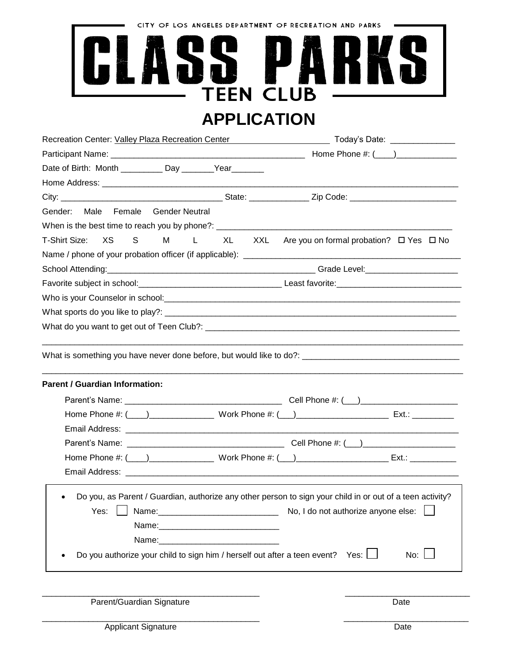CITY OF LOS ANGELES DEPARTMENT OF RECREATION AND PARKS

## ICE ! **SSPA Simple** TEEN CLUB **APPLICATION**

|                                                                                                                                                                                                                                                     |            | Recreation Center: Valley Plaza Recreation Center <b>Network Contract Contract Contract Contract Contract Contract Contract Contract Contract Contract Contract Contract Contract Contract Contract Contract Contract Contract C</b> |
|-----------------------------------------------------------------------------------------------------------------------------------------------------------------------------------------------------------------------------------------------------|------------|--------------------------------------------------------------------------------------------------------------------------------------------------------------------------------------------------------------------------------------|
|                                                                                                                                                                                                                                                     |            | Home Phone #: (____)________________                                                                                                                                                                                                 |
| Date of Birth: Month __________ Day _______Year_______                                                                                                                                                                                              |            |                                                                                                                                                                                                                                      |
|                                                                                                                                                                                                                                                     |            |                                                                                                                                                                                                                                      |
|                                                                                                                                                                                                                                                     |            |                                                                                                                                                                                                                                      |
| Gender: Male Female<br><b>Gender Neutral</b>                                                                                                                                                                                                        |            |                                                                                                                                                                                                                                      |
|                                                                                                                                                                                                                                                     |            |                                                                                                                                                                                                                                      |
| T-Shirt Size:<br>XS.<br>$S \qquad \qquad$                                                                                                                                                                                                           | M L XL XXL | Are you on formal probation? □ Yes □ No                                                                                                                                                                                              |
|                                                                                                                                                                                                                                                     |            |                                                                                                                                                                                                                                      |
|                                                                                                                                                                                                                                                     |            |                                                                                                                                                                                                                                      |
|                                                                                                                                                                                                                                                     |            |                                                                                                                                                                                                                                      |
|                                                                                                                                                                                                                                                     |            |                                                                                                                                                                                                                                      |
|                                                                                                                                                                                                                                                     |            |                                                                                                                                                                                                                                      |
|                                                                                                                                                                                                                                                     |            |                                                                                                                                                                                                                                      |
| <b>Parent / Guardian Information:</b>                                                                                                                                                                                                               |            |                                                                                                                                                                                                                                      |
|                                                                                                                                                                                                                                                     |            |                                                                                                                                                                                                                                      |
|                                                                                                                                                                                                                                                     |            |                                                                                                                                                                                                                                      |
|                                                                                                                                                                                                                                                     |            |                                                                                                                                                                                                                                      |
|                                                                                                                                                                                                                                                     |            |                                                                                                                                                                                                                                      |
|                                                                                                                                                                                                                                                     |            |                                                                                                                                                                                                                                      |
| $\bullet$<br>Yes:<br>Name: with a state of the state of the state of the state of the state of the state of the state of the state of the state of the state of the state of the state of the state of the state of the state of the state of the s |            | Do you, as Parent / Guardian, authorize any other person to sign your child in or out of a teen activity?<br>No, I do not authorize anyone else:                                                                                     |

\_\_\_\_\_\_\_\_\_\_\_\_\_\_\_\_\_\_\_\_\_\_\_\_\_\_\_\_\_\_\_\_\_\_\_\_\_\_\_\_\_\_\_\_\_\_\_ \_\_\_\_\_\_\_\_\_\_\_\_\_\_\_\_\_\_\_\_\_\_\_\_\_\_\_

\_\_\_\_\_\_\_\_\_\_\_\_\_\_\_\_\_\_\_\_\_\_\_\_\_\_\_\_\_\_\_\_\_\_\_\_\_\_\_\_\_\_\_\_\_\_\_ \_\_\_\_\_\_\_\_\_\_\_\_\_\_\_\_\_\_\_\_\_\_\_\_\_\_\_

Parent/Guardian Signature Date

Applicant Signature Date